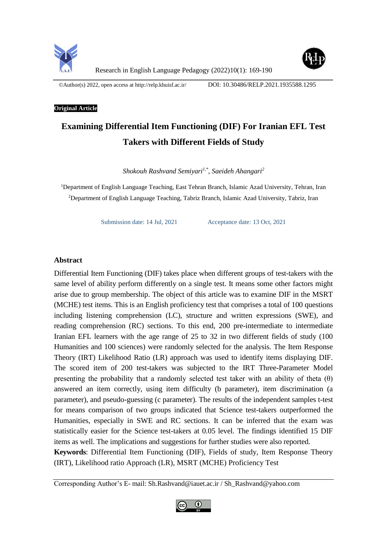



Research in English Language Pedagogy (2022)10(1): 169-190

©Author(s) 2022, open access at<http://relp.khuisf.ac.ir/>DOI: 10.30486/RELP.2021.1935588.1295

## **Original Article**

# **Examining Differential Item Functioning (DIF) For Iranian EFL Test Takers with Different Fields of Study**

*Shokouh Rashvand Semiyari1,\* , Saeideh Ahangari<sup>2</sup>*

<sup>1</sup>Department of English Language Teaching, East Tehran Branch, Islamic Azad University, Tehran, Iran <sup>2</sup>Department of English Language Teaching, Tabriz Branch, Islamic Azad University, Tabriz, Iran

Submission date: 14 Jul, 2021 Acceptance date: 13 Oct, 2021

## **Abstract**

Differential Item Functioning (DIF) takes place when different groups of test-takers with the same level of ability perform differently on a single test. It means some other factors might arise due to group membership. The object of this article was to examine DIF in the MSRT (MCHE) test items. This is an English proficiency test that comprises a total of 100 questions including listening comprehension (LC), structure and written expressions (SWE), and reading comprehension (RC) sections. To this end, 200 pre-intermediate to intermediate Iranian EFL learners with the age range of 25 to 32 in two different fields of study (100 Humanities and 100 sciences) were randomly selected for the analysis. The Item Response Theory (IRT) Likelihood Ratio (LR) approach was used to identify items displaying DIF. The scored item of 200 test-takers was subjected to the IRT Three-Parameter Model presenting the probability that a randomly selected test taker with an ability of theta  $(\theta)$ answered an item correctly, using item difficulty (b parameter), item discrimination (a parameter), and pseudo-guessing (c parameter). The results of the independent samples t-test for means comparison of two groups indicated that Science test-takers outperformed the Humanities, especially in SWE and RC sections. It can be inferred that the exam was statistically easier for the Science test-takers at 0.05 level. The findings identified 15 DIF items as well. The implications and suggestions for further studies were also reported. **Keywords**: Differential Item Functioning (DIF), Fields of study, Item Response Theory

(IRT), Likelihood ratio Approach (LR), MSRT (MCHE) Proficiency Test

Corresponding Author's E- mail: Sh.Rashvand@iauet.ac.ir / Sh\_Rashvand@yahoo.com

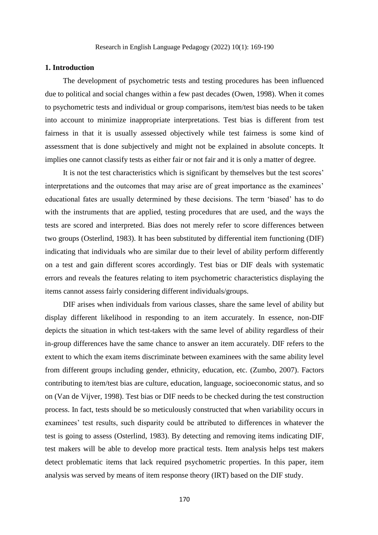#### **1. Introduction**

The development of psychometric tests and testing procedures has been influenced due to political and social changes within a few past decades [\(Owen, 1998\)](#page-20-0). When it comes to psychometric tests and individual or group comparisons, item/test bias needs to be taken into account to minimize inappropriate interpretations. Test bias is different from test fairness in that it is usually assessed objectively while test fairness is some kind of assessment that is done subjectively and might not be explained in absolute concepts. It implies one cannot classify tests as either fair or not fair and it is only a matter of degree.

It is not the test characteristics which is significant by themselves but the test scores' interpretations and the outcomes that may arise are of great importance as the examinees' educational fates are usually determined by these decisions. The term 'biased' has to do with the instruments that are applied, testing procedures that are used, and the ways the tests are scored and interpreted. Bias does not merely refer to score differences between two groups [\(Osterlind, 1983\)](#page-20-1). It has been substituted by differential item functioning (DIF) indicating that individuals who are similar due to their level of ability perform differently on a test and gain different scores accordingly. Test bias or DIF deals with systematic errors and reveals the features relating to item psychometric characteristics displaying the items cannot assess fairly considering different individuals/groups.

DIF arises when individuals from various classes, share the same level of ability but display different likelihood in responding to an item accurately. In essence, non-DIF depicts the situation in which test-takers with the same level of ability regardless of their in-group differences have the same chance to answer an item accurately. DIF refers to the extent to which the exam items discriminate between examinees with the same ability level from different groups including gender, ethnicity, education, etc. [\(Zumbo, 2007\)](#page-21-0). Factors contributing to item/test bias are culture, education, language, socioeconomic status, and so on [\(Van de Vijver, 1998\)](#page-21-1). Test bias or DIF needs to be checked during the test construction process. In fact, tests should be so meticulously constructed that when variability occurs in examinees' test results, such disparity could be attributed to differences in whatever the test is going to assess [\(Osterlind, 1983\)](#page-20-1). By detecting and removing items indicating DIF, test makers will be able to develop more practical tests. Item analysis helps test makers detect problematic items that lack required psychometric properties. In this paper, item analysis was served by means of item response theory (IRT) based on the DIF study.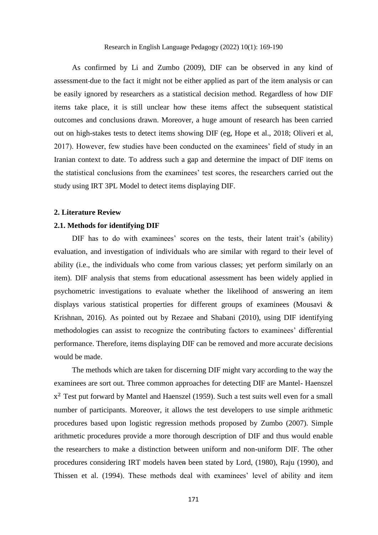As confirmed by Li and Zumbo (2009), DIF can be observed in any kind of assessment due to the fact it might not be either applied as part of the item analysis or can be easily ignored by researchers as a statistical decision method. Regardless of how DIF items take place, it is still unclear how these items affect the subsequent statistical outcomes and conclusions drawn. Moreover, a huge amount of research has been carried out on high-stakes tests to detect items showing DIF (eg, Hope et al., 2018; Oliveri et al, 2017). However, few studies have been conducted on the examinees' field of study in an Iranian context to date. To address such a gap and determine the impact of DIF items on the statistical conclusions from the examinees' test scores, the researchers carried out the study using IRT 3PL Model to detect items displaying DIF.

#### **2. Literature Review**

# **2.1. Methods for identifying DIF**

DIF has to do with examinees' scores on the tests, their latent trait's (ability) evaluation, and investigation of individuals who are similar with regard to their level of ability (i.e., the individuals who come from various classes; yet perform similarly on an item). DIF analysis that stems from educational assessment has been widely applied in psychometric investigations to evaluate whether the likelihood of answering an item displays various statistical properties for different groups of examinees (Mousavi & Krishnan, 2016). As pointed out by Rezaee and Shabani (2010), using DIF identifying methodologies can assist to recognize the contributing factors to examinees' differential performance. Therefore, items displaying DIF can be removed and more accurate decisions would be made.

The methods which are taken for discerning DIF might vary according to the way the examinees are sort out. Three common approaches for detecting DIF are Mantel- Haenszel  $x^2$  Test put forward by [Mantel and Haenszel \(1959\)](#page-20-2). Such a test suits well even for a small number of participants. Moreover, it allows the test developers to use simple arithmetic procedures based upon logistic regression methods proposed by [Zumbo \(2007\)](#page-21-0). Simple arithmetic procedures provide a more thorough description of DIF and thus would enable the researchers to make a distinction between uniform and non-uniform DIF. The other procedures considering IRT models haven been stated by [Lord, \(1980\)](#page-20-3), [Raju \(1990\)](#page-21-2), and [Thissen et al. \(1994\)](#page-21-3). These methods deal with examinees' level of ability and item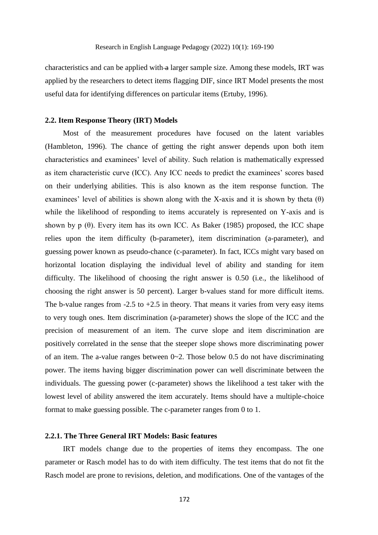characteristics and can be applied with a larger sample size. Among these models, IRT was applied by the researchers to detect items flagging DIF, since IRT Model presents the most useful data for identifying differences on particular items [\(Ertuby, 1996\)](#page-19-0).

#### **2.2. Item Response Theory (IRT) Models**

Most of the measurement procedures have focused on the latent variables [\(Hambleton, 1996\)](#page-19-1). The chance of getting the right answer depends upon both item characteristics and examinees' level of ability. Such relation is mathematically expressed as item characteristic curve (ICC). Any ICC needs to predict the examinees' scores based on their underlying abilities. This is also known as the item response function. The examinees' level of abilities is shown along with the X-axis and it is shown by theta  $(\theta)$ while the likelihood of responding to items accurately is represented on Y-axis and is shown by p  $(\theta)$ . Every item has its own ICC. As [Baker \(1985\)](#page-19-2) proposed, the ICC shape relies upon the item difficulty (b-parameter), item discrimination (a-parameter), and guessing power known as pseudo-chance (c-parameter). In fact, ICCs might vary based on horizontal location displaying the individual level of ability and standing for item difficulty. The likelihood of choosing the right answer is 0.50 (i.e., the likelihood of choosing the right answer is 50 percent). Larger b-values stand for more difficult items. The b-value ranges from  $-2.5$  to  $+2.5$  in theory. That means it varies from very easy items to very tough ones. Item discrimination (a-parameter) shows the slope of the ICC and the precision of measurement of an item. The curve slope and item discrimination are positively correlated in the sense that the steeper slope shows more discriminating power of an item. The a-value ranges between  $0 \sim 2$ . Those below 0.5 do not have discriminating power. The items having bigger discrimination power can well discriminate between the individuals. The guessing power (c-parameter) shows the likelihood a test taker with the lowest level of ability answered the item accurately. Items should have a multiple-choice format to make guessing possible. The c-parameter ranges from 0 to 1.

# **2.2.1. The Three General IRT Models: Basic features**

IRT models change due to the properties of items they encompass. The one parameter or Rasch model has to do with item difficulty. The test items that do not fit the Rasch model are prone to revisions, deletion, and modifications. One of the vantages of the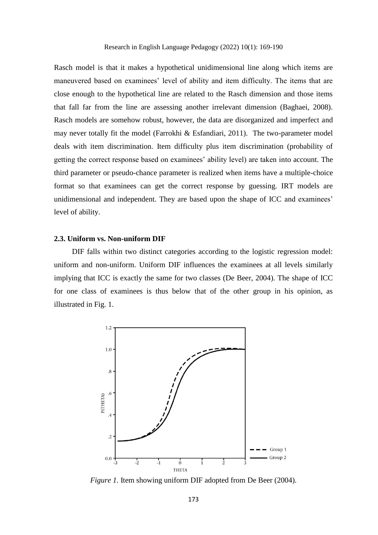Rasch model is that it makes a hypothetical unidimensional line along which items are maneuvered based on examinees' level of ability and item difficulty. The items that are close enough to the hypothetical line are related to the Rasch dimension and those items that fall far from the line are assessing another irrelevant dimension (Baghaei, 2008). Rasch models are somehow robust, however, the data are disorganized and imperfect and may never totally fit the model (Farrokhi & Esfandiari, 2011). The two-parameter model deals with item discrimination. Item difficulty plus item discrimination (probability of getting the correct response based on examinees' ability level) are taken into account. The third parameter or pseudo-chance parameter is realized when items have a multiple-choice format so that examinees can get the correct response by guessing. IRT models are unidimensional and independent. They are based upon the shape of ICC and examinees' level of ability.

#### **2.3. Uniform vs. Non-uniform DIF**

DIF falls within two distinct categories according to the logistic regression model: uniform and non-uniform. Uniform DIF influences the examinees at all levels similarly implying that ICC is exactly the same for two classes [\(De Beer, 2004\)](#page-19-3). The shape of ICC for one class of examinees is thus below that of the other group in his opinion, as illustrated in Fig. 1.



*Figure 1.* Item showing uniform DIF adopted from [De Beer \(2004\)](#page-19-3).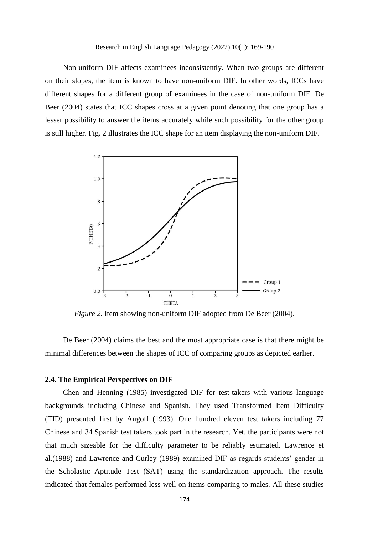#### Research in English Language Pedagogy (2022) 10(1): 169-190

Non-uniform DIF affects examinees inconsistently. When two groups are different on their slopes, the item is known to have non-uniform DIF. In other words, ICCs have different shapes for a different group of examinees in the case of non-uniform DIF. [De](#page-19-3)  [Beer \(2004\)](#page-19-3) states that ICC shapes cross at a given point denoting that one group has a lesser possibility to answer the items accurately while such possibility for the other group is still higher. Fig. 2 illustrates the ICC shape for an item displaying the non-uniform DIF.



*Figure 2.* Item showing non-uniform DIF adopted from [De Beer \(2004\)](#page-19-3).

[De Beer \(2004\)](#page-19-3) claims the best and the most appropriate case is that there might be minimal differences between the shapes of ICC of comparing groups as depicted earlier.

# **2.4. The Empirical Perspectives on DIF**

[Chen and Henning \(1985\)](#page-19-4) investigated DIF for test-takers with various language backgrounds including Chinese and Spanish. They used Transformed Item Difficulty (TID) presented first by [Angoff \(1993\)](#page-19-5). One hundred eleven test takers including 77 Chinese and 34 Spanish test takers took part in the research. Yet, the participants were not that much sizeable for the difficulty parameter to be reliably estimated. [Lawrence et](#page-20-4)  [al.\(1988\)](#page-20-4) and [Lawrence and Curley \(1989\)](#page-20-5) examined DIF as regards students' gender in the Scholastic Aptitude Test (SAT) using the standardization approach. The results indicated that females performed less well on items comparing to males. All these studies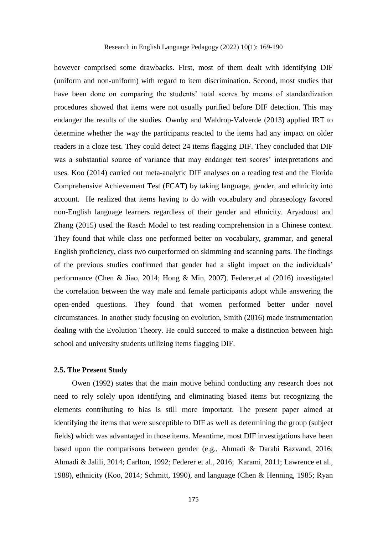#### Research in English Language Pedagogy (2022) 10(1): 169-190

however comprised some drawbacks. First, most of them dealt with identifying DIF (uniform and non-uniform) with regard to item discrimination. Second, most studies that have been done on comparing the students' total scores by means of standardization procedures showed that items were not usually purified before DIF detection. This may endanger the results of the studies. [Ownby and Waldrop-Valverde \(2013\)](#page-20-6) applied IRT to determine whether the way the participants reacted to the items had any impact on older readers in a cloze test. They could detect 24 items flagging DIF. They concluded that DIF was a substantial source of variance that may endanger test scores' interpretations and uses. [Koo \(2014\)](#page-20-7) carried out meta-analytic DIF analyses on a reading test and the Florida Comprehensive Achievement Test (FCAT) by taking language, gender, and ethnicity into account. He realized that items having to do with vocabulary and phraseology favored non-English language learners regardless of their gender and ethnicity. [Aryadoust and](#page-19-6)  [Zhang \(2015\)](#page-19-6) used the Rasch Model to test reading comprehension in a Chinese context. They found that while class one performed better on vocabulary, grammar, and general English proficiency, class two outperformed on skimming and scanning parts. The findings of the previous studies confirmed that gender had a slight impact on the individuals' performance [\(Chen & Jiao, 2014;](#page-19-7) [Hong & Min, 2007\)](#page-20-8). [Federer,et al \(2016\)](#page-19-8) investigated the correlation between the way male and female participants adopt while answering the open-ended questions. They found that women performed better under novel circumstances. In another study focusing on evolution, [Smith \(2016\)](#page-21-4) made instrumentation dealing with the Evolution Theory. He could succeed to make a distinction between high school and university students utilizing items flagging DIF.

## **2.5. The Present Study**

[Owen \(1992\)](#page-20-9) states that the main motive behind conducting any research does not need to rely solely upon identifying and eliminating biased items but recognizing the elements contributing to bias is still more important. The present paper aimed at identifying the items that were susceptible to DIF as well as determining the group (subject fields) which was advantaged in those items. Meantime, most DIF investigations have been based upon the comparisons between gender (e.g., Ahmadi & Darabi Bazvand, 2016; Ahmadi & Jalili, 2014; [Carlton, 1992;](#page-19-9) [Federer et al., 2016;](#page-19-8) Karami, 2011; [Lawrence et al.,](#page-20-4)  [1988\)](#page-20-4), ethnicity [\(Koo, 2014;](#page-20-7) [Schmitt, 1990\)](#page-21-5), and language [\(Chen & Henning, 1985;](#page-19-4) [Ryan](#page-21-6)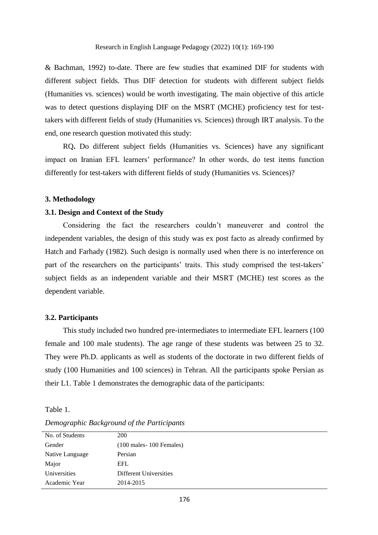[& Bachman, 1992\)](#page-21-6) to-date. There are few studies that examined DIF for students with different subject fields. Thus DIF detection for students with different subject fields (Humanities vs. sciences) would be worth investigating. The main objective of this article was to detect questions displaying DIF on the MSRT (MCHE) proficiency test for testtakers with different fields of study (Humanities vs. Sciences) through IRT analysis. To the end, one research question motivated this study:

RQ**.** Do different subject fields (Humanities vs. Sciences) have any significant impact on Iranian EFL learners' performance? In other words, do test items function differently for test-takers with different fields of study (Humanities vs. Sciences)?

#### **3. Methodology**

# **3.1. Design and Context of the Study**

Considering the fact the researchers couldn't maneuverer and control the independent variables, the design of this study was ex post facto as already confirmed by [Hatch and Farhady \(1982\)](#page-20-10). Such design is normally used when there is no interference on part of the researchers on the participants' traits. This study comprised the test-takers' subject fields as an independent variable and their MSRT (MCHE) test scores as the dependent variable.

## **3.2. Participants**

This study included two hundred pre-intermediates to intermediate EFL learners (100 female and 100 male students). The age range of these students was between 25 to 32. They were Ph.D. applicants as well as students of the doctorate in two different fields of study (100 Humanities and 100 sciences) in Tehran. All the participants spoke Persian as their L1. Table 1 demonstrates the demographic data of the participants:

Table 1.

| No. of Students | <b>200</b>                                  |
|-----------------|---------------------------------------------|
| Gender          | $(100 \text{ males} - 100 \text{ Females})$ |
| Native Language | Persian                                     |
| Major           | EFL                                         |
| Universities    | Different Universities                      |
| Academic Year   | 2014-2015                                   |

*Demographic Background of the Participants*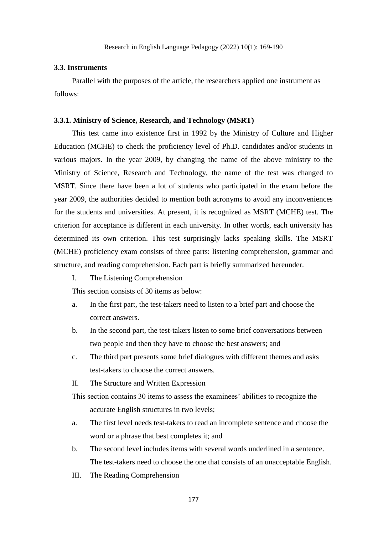#### **3.3. Instruments**

Parallel with the purposes of the article, the researchers applied one instrument as follows:

#### **3.3.1. Ministry of Science, Research, and Technology (MSRT)**

This test came into existence first in 1992 by the Ministry of Culture and Higher Education (MCHE) to check the proficiency level of Ph.D. candidates and/or students in various majors. In the year 2009, by changing the name of the above ministry to the Ministry of Science, Research and Technology, the name of the test was changed to MSRT. Since there have been a lot of students who participated in the exam before the year 2009, the authorities decided to mention both acronyms to avoid any inconveniences for the students and universities. At present, it is recognized as MSRT (MCHE) test. The criterion for acceptance is different in each university. In other words, each university has determined its own criterion. This test surprisingly lacks speaking skills. The MSRT (MCHE) proficiency exam consists of three parts: listening comprehension, grammar and structure, and reading comprehension. Each part is briefly summarized hereunder.

I. The Listening Comprehension

This section consists of 30 items as below:

- a. In the first part, the test-takers need to listen to a brief part and choose the correct answers.
- b. In the second part, the test-takers listen to some brief conversations between two people and then they have to choose the best answers; and
- c. The third part presents some brief dialogues with different themes and asks test-takers to choose the correct answers.
- II. The Structure and Written Expression

This section contains 30 items to assess the examinees' abilities to recognize the accurate English structures in two levels;

- a. The first level needs test-takers to read an incomplete sentence and choose the word or a phrase that best completes it; and
- b. The second level includes items with several words underlined in a sentence. The test-takers need to choose the one that consists of an unacceptable English.
- III. The Reading Comprehension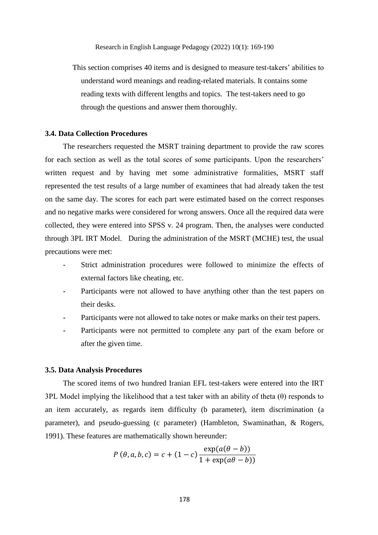This section comprises 40 items and is designed to measure test-takers' abilities to understand word meanings and reading-related materials. It contains some reading texts with different lengths and topics. The test-takers need to go through the questions and answer them thoroughly.

## **3.4. Data Collection Procedures**

The researchers requested the MSRT training department to provide the raw scores for each section as well as the total scores of some participants. Upon the researchers' written request and by having met some administrative formalities, MSRT staff represented the test results of a large number of examinees that had already taken the test on the same day. The scores for each part were estimated based on the correct responses and no negative marks were considered for wrong answers. Once all the required data were collected, they were entered into SPSS v. 24 program. Then, the analyses were conducted through 3PL IRT Model. During the administration of the MSRT (MCHE) test, the usual precautions were met:

- Strict administration procedures were followed to minimize the effects of external factors like cheating, etc.
- Participants were not allowed to have anything other than the test papers on their desks.
- Participants were not allowed to take notes or make marks on their test papers.
- Participants were not permitted to complete any part of the exam before or after the given time.

#### **3.5. Data Analysis Procedures**

The scored items of two hundred Iranian EFL test-takers were entered into the IRT 3PL Model implying the likelihood that a test taker with an ability of theta (θ) responds to an item accurately, as regards item difficulty (b parameter), item discrimination (a parameter), and pseudo-guessing (c parameter) [\(Hambleton, Swaminathan, & Rogers,](#page-19-10)  [1991\)](#page-19-10). These features are mathematically shown hereunder:

$$
P(\theta, a, b, c) = c + (1 - c) \frac{\exp(a(\theta - b))}{1 + \exp(a\theta - b)}
$$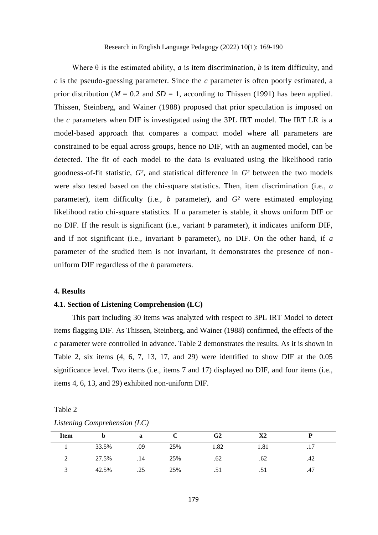Where θ is the estimated ability, *a* is item discrimination, *b* is item difficulty, and *c* is the pseudo-guessing parameter. Since the *c* parameter is often poorly estimated, a prior distribution ( $M = 0.2$  and  $SD = 1$ , according to [Thissen \(1991\)](#page-21-7) has been applied. Thissen, [Steinberg, and Wainer \(1988\)](#page-21-8) proposed that prior speculation is imposed on the *c* parameters when DIF is investigated using the 3PL IRT model. The IRT LR is a model-based approach that compares a compact model where all parameters are constrained to be equal across groups, hence no DIF, with an augmented model, can be detected. The fit of each model to the data is evaluated using the likelihood ratio goodness-of-fit statistic, *G²*, and statistical difference in *G²* between the two models were also tested based on the chi-square statistics. Then, item discrimination (i.e., *a*  parameter), item difficulty (i.e., *b* parameter), and *G²* were estimated employing likelihood ratio chi-square statistics. If *a* parameter is stable, it shows uniform DIF or no DIF. If the result is significant (i.e., variant *b* parameter), it indicates uniform DIF, and if not significant (i.e., invariant *b* parameter), no DIF. On the other hand, if *a*  parameter of the studied item is not invariant, it demonstrates the presence of nonuniform DIF regardless of the *b* parameters.

## **4. Results**

#### **4.1. Section of Listening Comprehension (LC)**

This part including 30 items was analyzed with respect to 3PL IRT Model to detect items flagging DIF. As Thissen, [Steinberg, and Wainer \(1988\)](#page-21-8) confirmed, the effects of the *c* parameter were controlled in advance. Table 2 demonstrates the results. As it is shown in Table 2, six items (4, 6, 7, 13, 17, and 29) were identified to show DIF at the 0.05 significance level. Two items (i.e., items 7 and 17) displayed no DIF, and four items (i.e., items 4, 6, 13, and 29) exhibited non-uniform DIF.

| 10010E |                              |  |
|--------|------------------------------|--|
|        | Listening Comprehension (LC) |  |

Table 2

| <b>Item</b> |       | a   |     | G2   | X2   |     |  |
|-------------|-------|-----|-----|------|------|-----|--|
|             | 33.5% | .09 | 25% | 1.82 | 1.81 | .17 |  |
|             | 27.5% | .14 | 25% | .62  | .62  | .42 |  |
|             | 42.5% | .25 | 25% | .51  | .51  | .47 |  |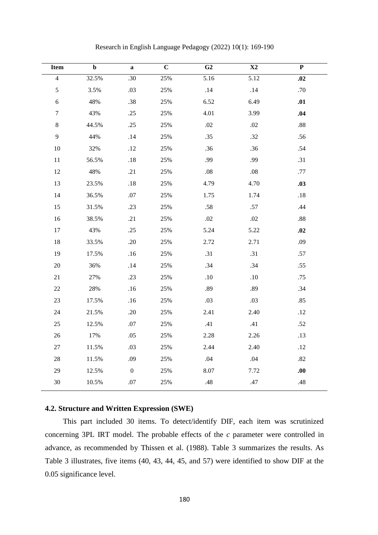| <b>Item</b>      | $\mathbf b$ | $\mathbf a$      | $\mathbf C$ | G <sub>2</sub> | X2      | ${\bf P}$ |
|------------------|-------------|------------------|-------------|----------------|---------|-----------|
| $\overline{4}$   | 32.5%       | .30              | 25%         | 5.16           | 5.12    | .02       |
| $\mathfrak s$    | 3.5%        | .03              | 25%         | $.14$          | .14     | .70       |
| $\sqrt{6}$       | 48%         | .38              | 25%         | 6.52           | 6.49    | .01       |
| $\boldsymbol{7}$ | 43%         | .25              | 25%         | 4.01           | 3.99    | .04       |
| $\,8\,$          | 44.5%       | .25              | 25%         | .02            | .02     | $.88\,$   |
| $\mathbf{9}$     | 44%         | $.14\,$          | 25%         | .35            | .32     | .56       |
| 10               | 32%         | .12              | 25%         | .36            | .36     | .54       |
| $11\,$           | 56.5%       | $.18\,$          | 25%         | .99            | .99     | .31       |
| $12\,$           | 48%         | .21              | 25%         | $.08\,$        | $.08\,$ | $.77\,$   |
| 13               | 23.5%       | $.18\,$          | 25%         | 4.79           | 4.70    | .03       |
| 14               | 36.5%       | $.07\,$          | 25%         | 1.75           | 1.74    | $.18\,$   |
| 15               | 31.5%       | .23              | 25%         | $.58\,$        | $.57$   | .44       |
| 16               | 38.5%       | .21              | 25%         | $.02\,$        | $.02\,$ | $.88\,$   |
| $17\,$           | 43%         | .25              | 25%         | 5.24           | 5.22    | .02       |
| $18\,$           | 33.5%       | .20              | 25%         | 2.72           | 2.71    | .09       |
| 19               | 17.5%       | .16              | 25%         | .31            | .31     | .57       |
| $20\,$           | 36%         | .14              | 25%         | .34            | .34     | .55       |
| 21               | 27%         | .23              | 25%         | $.10\,$        | $.10\,$ | .75       |
| $22\,$           | 28%         | .16              | 25%         | .89            | .89     | .34       |
| $23\,$           | 17.5%       | .16              | 25%         | .03            | .03     | .85       |
| $24\,$           | 21.5%       | .20              | 25%         | 2.41           | 2.40    | .12       |
| $25\,$           | 12.5%       | $.07\,$          | 25%         | .41            | .41     | .52       |
| $26\,$           | 17%         | .05              | 25%         | 2.28           | 2.26    | .13       |
| $27\,$           | 11.5%       | .03              | 25%         | 2.44           | 2.40    | .12       |
| $28\,$           | 11.5%       | .09              | 25%         | .04            | .04     | .82       |
| 29               | 12.5%       | $\boldsymbol{0}$ | 25%         | 8.07           | 7.72    | .00       |
| 30               | 10.5%       | $.07\,$          | 25%         | .48            | $.47$   | $.48$     |
|                  |             |                  |             |                |         |           |

Research in English Language Pedagogy (2022) 10(1): 169-190

#### **4.2. Structure and Written Expression (SWE)**

This part included 30 items. To detect/identify DIF, each item was scrutinized concerning 3PL IRT model. The probable effects of the *c* parameter were controlled in advance, as recommended by [Thissen et al. \(1988\)](#page-21-8). Table 3 summarizes the results. As Table 3 illustrates, five items (40, 43, 44, 45, and 57) were identified to show DIF at the 0.05 significance level.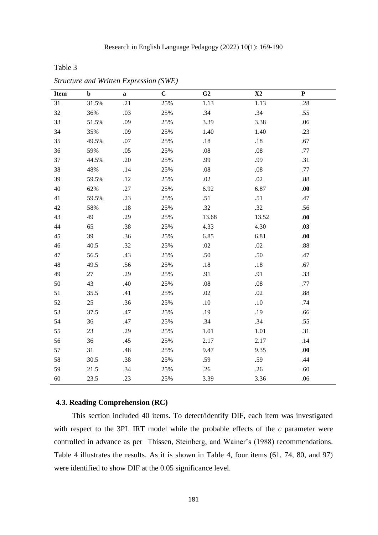Table 3

| <b>Item</b> | $\mathbf b$ | $\mathbf a$ | $\overline{C}$ | $\overline{G2}$ | $\overline{\text{X2}}$ | $\overline{\mathbf{P}}$ |
|-------------|-------------|-------------|----------------|-----------------|------------------------|-------------------------|
| 31          | 31.5%       | .21         | 25%            | 1.13            | 1.13                   | $.28\,$                 |
| 32          | 36%         | .03         | 25%            | .34             | .34                    | .55                     |
| 33          | 51.5%       | .09         | 25%            | 3.39            | 3.38                   | .06                     |
| 34          | 35%         | .09         | 25%            | 1.40            | 1.40                   | .23                     |
| 35          | 49.5%       | .07         | 25%            | $.18\,$         | .18                    | .67                     |
| 36          | 59%         | .05         | 25%            | $.08\,$         | $.08\,$                | .77                     |
| 37          | 44.5%       | .20         | 25%            | .99             | .99                    | .31                     |
| 38          | 48%         | .14         | 25%            | $.08\,$         | $.08\,$                | .77                     |
| 39          | 59.5%       | .12         | 25%            | $.02\,$         | $.02\,$                | .88                     |
| 40          | 62%         | .27         | 25%            | 6.92            | 6.87                   | .00.                    |
| 41          | 59.5%       | .23         | 25%            | .51             | .51                    | .47                     |
| 42          | 58%         | .18         | 25%            | .32             | .32                    | .56                     |
| 43          | 49          | .29         | 25%            | 13.68           | 13.52                  | .00.                    |
| 44          | 65          | .38         | 25%            | 4.33            | 4.30                   | .03                     |
| 45          | 39          | .36         | 25%            | 6.85            | 6.81                   | .00.                    |
| 46          | 40.5        | .32         | 25%            | $.02\,$         | .02                    | $.88\,$                 |
| 47          | 56.5        | .43         | 25%            | .50             | .50                    | .47                     |
| 48          | 49.5        | .56         | 25%            | $.18\,$         | $.18\,$                | .67                     |
| 49          | 27          | .29         | 25%            | .91             | .91                    | .33                     |
| 50          | 43          | .40         | 25%            | $.08\,$         | $.08\,$                | .77                     |
| 51          | 35.5        | .41         | 25%            | .02             | .02                    | $.88\,$                 |
| 52          | 25          | .36         | 25%            | .10             | .10                    | .74                     |
| 53          | 37.5        | .47         | 25%            | .19             | .19                    | .66                     |
| 54          | 36          | .47         | 25%            | .34             | .34                    | .55                     |
| 55          | 23          | .29         | 25%            | 1.01            | 1.01                   | .31                     |
| 56          | 36          | .45         | 25%            | 2.17            | 2.17                   | .14                     |
| 57          | 31          | .48         | 25%            | 9.47            | 9.35                   | .00                     |
| 58          | 30.5        | .38         | 25%            | .59             | .59                    | .44                     |
| 59          | 21.5        | .34         | 25%            | .26             | .26                    | .60                     |
| $60\,$      | 23.5        | .23         | 25%            | 3.39            | 3.36                   | .06                     |

*Structure and Written Expression (SWE)*

# **4.3. Reading Comprehension (RC)**

This section included 40 items. To detect/identify DIF, each item was investigated with respect to the 3PL IRT model while the probable effects of the *c* parameter were controlled in advance as per [Thissen, Steinberg, and Wainer's \(1988\)](#page-21-8) recommendations. Table 4 illustrates the results. As it is shown in Table 4, four items (61, 74, 80, and 97) were identified to show DIF at the 0.05 significance level.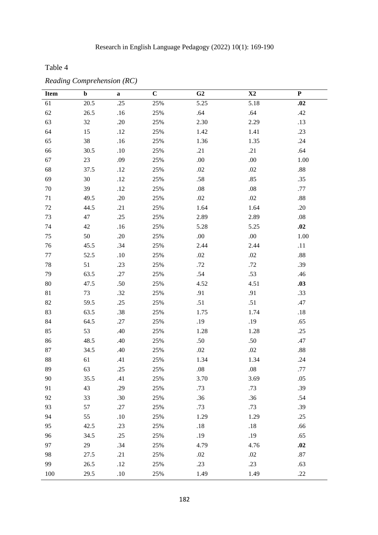Table 4

| <b>Item</b> | $\mathbf b$ | $\bf a$ | $\mathbf C$ | G <sub>2</sub> | $\mathbf{X}2$ | $\mathbf P$ |
|-------------|-------------|---------|-------------|----------------|---------------|-------------|
| 61          | 20.5        | .25     | 25%         | 5.25           | 5.18          | .02         |
| 62          | 26.5        | $.16$   | 25%         | .64            | .64           | .42         |
| 63          | 32          | .20     | 25%         | 2.30           | 2.29          | .13         |
| 64          | 15          | .12     | 25%         | 1.42           | 1.41          | .23         |
| 65          | 38          | .16     | 25%         | 1.36           | 1.35          | .24         |
| 66          | 30.5        | $.10\,$ | 25%         | .21            | .21           | .64         |
| 67          | 23          | .09     | 25%         | $.00\,$        | .00.          | $1.00\,$    |
| 68          | 37.5        | .12     | 25%         | $.02\,$        | .02           | $.88\,$     |
| 69          | 30          | .12     | 25%         | .58            | .85           | .35         |
| $70\,$      | 39          | .12     | 25%         | $.08\,$        | $.08\,$       | .77         |
| 71          | 49.5        | .20     | 25%         | $.02\,$        | .02           | $.88\,$     |
| $72\,$      | 44.5        | .21     | 25%         | 1.64           | 1.64          | .20         |
| 73          | 47          | .25     | 25%         | 2.89           | 2.89          | $.08\,$     |
| 74          | 42          | .16     | 25%         | 5.28           | 5.25          | .02         |
| 75          | 50          | .20     | 25%         | .00.           | .00.          | $1.00\,$    |
| 76          | 45.5        | .34     | 25%         | 2.44           | 2.44          | .11         |
| $77 \,$     | 52.5        | .10     | 25%         | $.02\,$        | $.02\,$       | $.88\,$     |
| 78          | 51          | .23     | 25%         | .72            | .72           | .39         |
| 79          | 63.5        | .27     | 25%         | .54            | .53           | .46         |
| 80          | 47.5        | .50     | 25%         | 4.52           | 4.51          | .03         |
| 81          | 73          | .32     | 25%         | .91            | .91           | .33         |
| 82          | 59.5        | .25     | 25%         | .51            | .51           | .47         |
| 83          | 63.5        | .38     | 25%         | 1.75           | 1.74          | $.18$       |
| 84          | 64.5        | .27     | 25%         | .19            | .19           | .65         |
| 85          | 53          | .40     | 25%         | 1.28           | 1.28          | .25         |
| 86          | 48.5        | .40     | 25%         | .50            | .50           | .47         |
| $87\,$      | 34.5        | .40     | 25%         | $.02\,$        | .02           | .88         |
| 88          | 61          | .41     | 25%         | 1.34           | 1.34          | .24         |
| 89          | 63          | .25     | 25%         | $.08\,$        | .08           | .77         |
| 90          | 35.5        | .41     | 25%         | 3.70           | 3.69          | .05         |
| 91          | 43          | .29     | 25%         | .73            | .73           | .39         |
| 92          | 33          | .30     | 25%         | .36            | .36           | .54         |
| 93          | 57          | .27     | 25%         | .73            | .73           | .39         |
| 94          | 55          | .10     | 25%         | 1.29           | 1.29          | .25         |
| 95          | 42.5        | .23     | 25%         | $.18\,$        | .18           | .66         |
| 96          | 34.5        | .25     | 25%         | .19            | .19           | .65         |
| 97          | 29          | .34     | 25%         | 4.79           | 4.76          | .02         |
| 98          | 27.5        | .21     | 25%         | .02            | .02           | .87         |
| 99          | 26.5        | .12     | 25%         | .23            | .23           | .63         |
| 100         | 29.5        | $.10\,$ | 25%         | 1.49           | 1.49          | .22         |

*Reading Comprehension (RC)*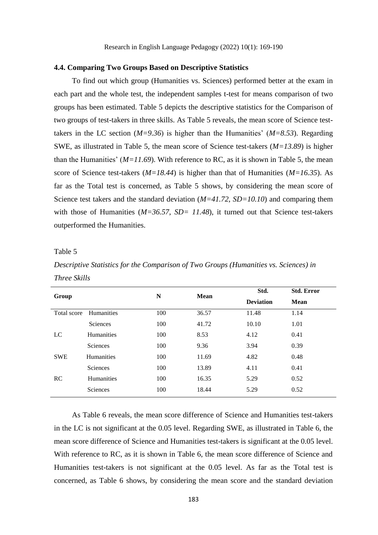#### **4.4. Comparing Two Groups Based on Descriptive Statistics**

To find out which group (Humanities vs. Sciences) performed better at the exam in each part and the whole test, the independent samples t-test for means comparison of two groups has been estimated. Table 5 depicts the descriptive statistics for the Comparison of two groups of test-takers in three skills. As Table 5 reveals, the mean score of Science testtakers in the LC section  $(M=9.36)$  is higher than the Humanities'  $(M=8.53)$ . Regarding SWE, as illustrated in Table 5, the mean score of Science test-takers (*M=13.89*) is higher than the Humanities'  $(M=11.69)$ . With reference to RC, as it is shown in Table 5, the mean score of Science test-takers (*M=18.44*) is higher than that of Humanities (*M=16.35*). As far as the Total test is concerned, as Table 5 shows, by considering the mean score of Science test takers and the standard deviation ( $M=41.72$ ,  $SD=10.10$ ) and comparing them with those of Humanities ( $M=36.57$ ,  $SD=11.48$ ), it turned out that Science test-takers outperformed the Humanities.

#### Table 5

*Descriptive Statistics for the Comparison of Two Groups (Humanities vs. Sciences) in Three Skills*

|             |                   | N   | Mean  | Std.             | <b>Std. Error</b> |
|-------------|-------------------|-----|-------|------------------|-------------------|
| Group       |                   |     |       | <b>Deviation</b> | <b>Mean</b>       |
| Total score | Humanities        | 100 | 36.57 | 11.48            | 1.14              |
|             | Sciences          | 100 | 41.72 | 10.10            | 1.01              |
| LC          | <b>Humanities</b> | 100 | 8.53  | 4.12             | 0.41              |
|             | Sciences          | 100 | 9.36  | 3.94             | 0.39              |
| <b>SWE</b>  | <b>Humanities</b> | 100 | 11.69 | 4.82             | 0.48              |
|             | Sciences          | 100 | 13.89 | 4.11             | 0.41              |
| RC          | <b>Humanities</b> | 100 | 16.35 | 5.29             | 0.52              |
|             | Sciences          | 100 | 18.44 | 5.29             | 0.52              |

As Table 6 reveals, the mean score difference of Science and Humanities test-takers in the LC is not significant at the 0.05 level. Regarding SWE, as illustrated in Table 6, the mean score difference of Science and Humanities test-takers is significant at the 0.05 level. With reference to RC, as it is shown in Table 6, the mean score difference of Science and Humanities test-takers is not significant at the 0.05 level. As far as the Total test is concerned, as Table 6 shows, by considering the mean score and the standard deviation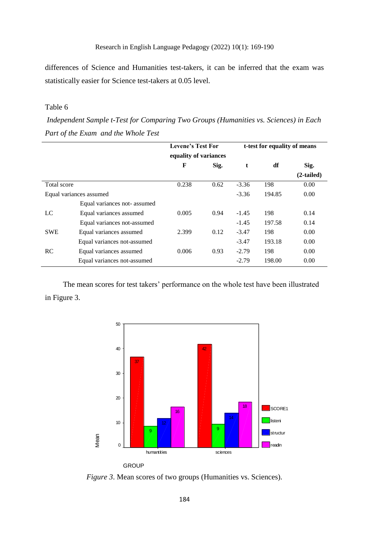differences of Science and Humanities test-takers, it can be inferred that the exam was statistically easier for Science test-takers at 0.05 level.

# Table 6

*Independent Sample t-Test for Comparing Two Groups (Humanities vs. Sciences) in Each Part of the Exam and the Whole Test*

|                         |                             | <b>Levene's Test For</b> |      | t-test for equality of means |        |              |  |
|-------------------------|-----------------------------|--------------------------|------|------------------------------|--------|--------------|--|
|                         |                             | equality of variances    |      |                              |        |              |  |
|                         |                             | F                        | Sig. | t                            | df     | Sig.         |  |
|                         |                             |                          |      |                              |        | $(2-tailed)$ |  |
| Total score             |                             | 0.238                    | 0.62 | $-3.36$                      | 198    | 0.00         |  |
| Equal variances assumed |                             |                          |      | $-3.36$                      | 194.85 | 0.00         |  |
|                         | Equal variances not-assumed |                          |      |                              |        |              |  |
| LC                      | Equal variances assumed     | 0.005                    | 0.94 | $-1.45$                      | 198    | 0.14         |  |
|                         | Equal variances not-assumed |                          |      | $-1.45$                      | 197.58 | 0.14         |  |
| <b>SWE</b>              | Equal variances assumed     | 2.399                    | 0.12 | $-3.47$                      | 198    | 0.00         |  |
|                         | Equal variances not-assumed |                          |      | $-3.47$                      | 193.18 | 0.00         |  |
| RC                      | Equal variances assumed     | 0.006                    | 0.93 | $-2.79$                      | 198    | 0.00         |  |
|                         | Equal variances not-assumed |                          |      | $-2.79$                      | 198.00 | 0.00         |  |

The mean scores for test takers' performance on the whole test have been illustrated in Figure 3.



*Figure 3.* Mean scores of two groups (Humanities vs. Sciences).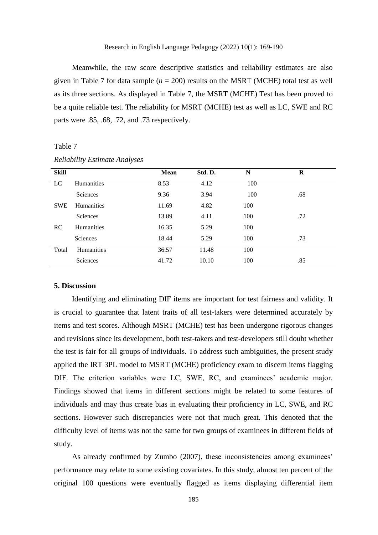Meanwhile, the raw score descriptive statistics and reliability estimates are also given in Table 7 for data sample ( $n = 200$ ) results on the MSRT (MCHE) total test as well as its three sections. As displayed in Table 7, the MSRT (MCHE) Test has been proved to be a quite reliable test. The reliability for MSRT (MCHE) test as well as LC, SWE and RC parts were .85, .68, .72, and .73 respectively.

#### Table 7

| <b>Skill</b> |                   | <b>Mean</b> | Std. D. | N   | $\bf{R}$ |
|--------------|-------------------|-------------|---------|-----|----------|
| LC           | <b>Humanities</b> | 8.53        | 4.12    | 100 |          |
|              | Sciences          | 9.36        | 3.94    | 100 | .68      |
| <b>SWE</b>   | <b>Humanities</b> | 11.69       | 4.82    | 100 |          |
|              | Sciences          | 13.89       | 4.11    | 100 | .72      |
| <b>RC</b>    | <b>Humanities</b> | 16.35       | 5.29    | 100 |          |
|              | Sciences          | 18.44       | 5.29    | 100 | .73      |
| Total        | Humanities        | 36.57       | 11.48   | 100 |          |
|              | Sciences          | 41.72       | 10.10   | 100 | .85      |

## *Reliability Estimate Analyses*

#### **5. Discussion**

Identifying and eliminating DIF items are important for test fairness and validity. It is crucial to guarantee that latent traits of all test-takers were determined accurately by items and test scores. Although MSRT (MCHE) test has been undergone rigorous changes and revisions since its development, both test-takers and test-developers still doubt whether the test is fair for all groups of individuals. To address such ambiguities, the present study applied the IRT 3PL model to MSRT (MCHE) proficiency exam to discern items flagging DIF. The criterion variables were LC, SWE, RC, and examinees' academic major. Findings showed that items in different sections might be related to some features of individuals and may thus create bias in evaluating their proficiency in LC, SWE, and RC sections. However such discrepancies were not that much great. This denoted that the difficulty level of items was not the same for two groups of examinees in different fields of study.

As already confirmed by [Zumbo \(2007\)](#page-21-0), these inconsistencies among examinees' performance may relate to some existing covariates. In this study, almost ten percent of the original 100 questions were eventually flagged as items displaying differential item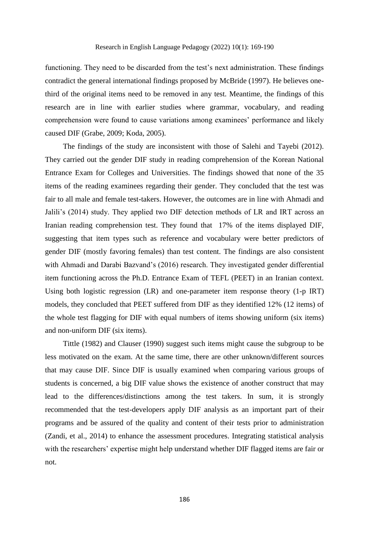functioning. They need to be discarded from the test's next administration. These findings contradict the general international findings proposed by [McBride \(1997\)](#page-20-11). He believes onethird of the original items need to be removed in any test. Meantime, the findings of this research are in line with earlier studies where grammar, vocabulary, and reading comprehension were found to cause variations among examinees' performance and likely caused DIF [\(Grabe, 2009;](#page-19-11) [Koda, 2005\)](#page-20-12).

The findings of the study are inconsistent with those of Salehi and Tayebi (2012). They carried out the gender DIF study in reading comprehension of the Korean National Entrance Exam for Colleges and Universities. The findings showed that none of the 35 items of the reading examinees regarding their gender. They concluded that the test was fair to all male and female test-takers. However, the outcomes are in line with Ahmadi and Jalili's (2014) study. They applied two DIF detection methods of LR and IRT across an Iranian reading comprehension test. They found that 17% of the items displayed DIF, suggesting that item types such as reference and vocabulary were better predictors of gender DIF (mostly favoring females) than test content. The findings are also consistent with Ahmadi and Darabi Bazvand's (2016) research. They investigated gender differential item functioning across the Ph.D. Entrance Exam of TEFL (PEET) in an Iranian context. Using both logistic regression (LR) and one-parameter item response theory (1-p IRT) models, they concluded that PEET suffered from DIF as they identified 12% (12 items) of the whole test flagging for DIF with equal numbers of items showing uniform (six items) and non-uniform DIF (six items).

[Tittle \(1982\)](#page-21-9) and [Clauser \(1990\)](#page-19-12) suggest such items might cause the subgroup to be less motivated on the exam. At the same time, there are other unknown/different sources that may cause DIF. Since DIF is usually examined when comparing various groups of students is concerned, a big DIF value shows the existence of another construct that may lead to the differences/distinctions among the test takers. In sum, it is strongly recommended that the test-developers apply DIF analysis as an important part of their programs and be assured of the quality and content of their tests prior to administration (Zandi, et al., 2014) to enhance the assessment procedures. Integrating statistical analysis with the researchers' expertise might help understand whether DIF flagged items are fair or not.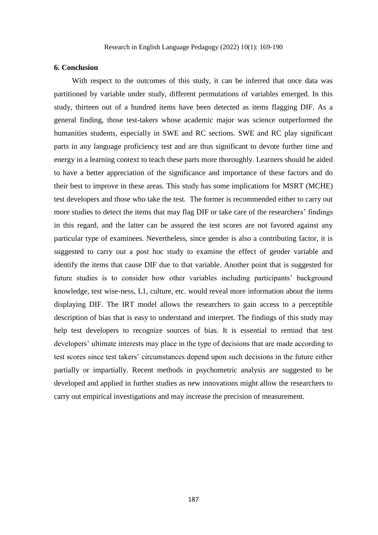#### **6. Conclusion**

With respect to the outcomes of this study, it can be inferred that once data was partitioned by variable under study, different permutations of variables emerged. In this study, thirteen out of a hundred items have been detected as items flagging DIF. As a general finding, those test-takers whose academic major was science outperformed the humanities students, especially in SWE and RC sections. SWE and RC play significant parts in any language proficiency test and are thus significant to devote further time and energy in a learning context to teach these parts more thoroughly. Learners should be aided to have a better appreciation of the significance and importance of these factors and do their best to improve in these areas. This study has some implications for MSRT (MCHE) test developers and those who take the test. The former is recommended either to carry out more studies to detect the items that may flag DIF or take care of the researchers' findings in this regard, and the latter can be assured the test scores are not favored against any particular type of examinees. Nevertheless, since gender is also a contributing factor, it is suggested to carry out a post hoc study to examine the effect of gender variable and identify the items that cause DIF due to that variable. Another point that is suggested for future studies is to consider how other variables including participants' background knowledge, test wise-ness, L1, culture, etc. would reveal more information about the items displaying DIF. The IRT model allows the researchers to gain access to a perceptible description of bias that is easy to understand and interpret. The findings of this study may help test developers to recognize sources of bias. It is essential to remind that test developers' ultimate interests may place in the type of decisions that are made according to test scores since test takers' circumstances depend upon such decisions in the future either partially or impartially. Recent methods in psychometric analysis are suggested to be developed and applied in further studies as new innovations might allow the researchers to carry out empirical investigations and may increase the precision of measurement.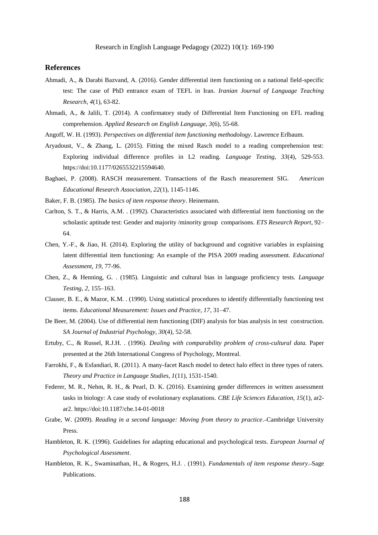Research in English Language Pedagogy (2022) 10(1): 169-190

#### **References**

- Ahmadi, A., & Darabi Bazvand, A. (2016). Gender differential item functioning on a national field-specific test: The case of PhD entrance exam of TEFL in Iran. *Iranian Journal of Language Teaching Research, 4*(1), 63-82.
- Ahmadi, A., & Jalili, T. (2014). A confirmatory study of Differential Item Functioning on EFL reading comprehension. *Applied Research on English Language, 3*(6), 55-68.
- <span id="page-19-5"></span>Angoff, W. H. (1993). *Perspectives on differential item functioning methodology*. Lawrence Erlbaum.
- <span id="page-19-6"></span>Aryadoust, V., & Zhang, L. (2015). Fitting the mixed Rasch model to a reading comprehension test: Exploring individual difference profiles in L2 reading. *Language Testing, 33*(4), 529-553. https://doi:10.1177/0265532215594640.
- <span id="page-19-2"></span>Baghaei, P. (2008). RASCH measurement. Transactions of the Rasch measurement SIG. *American Educational Research Association, 22*(1), 1145-1146.
- Baker, F. B. (1985). *The basics of item response theory*. Heinemann.
- <span id="page-19-9"></span>Carlton, S. T., & Harris, A.M. . (1992). Characteristics associated with differential item functioning on the scholastic aptitude test: Gender and majority /minority group comparisons. *ETS Research Report*, 92– 64.
- <span id="page-19-7"></span>Chen, Y.-F., & Jiao, H. (2014). Exploring the utility of background and cognitive variables in explaining latent differential item functioning: An example of the PISA 2009 reading assessment. *Educational Assessment, 19*, 77-96.
- <span id="page-19-4"></span>Chen, Z., & Henning, G. . (1985). Linguistic and cultural bias in language proficiency tests. *Language Testing, 2*, 155–163.
- <span id="page-19-12"></span>Clauser, B. E., & Mazor, K.M. . (1990). Using statistical procedures to identify differentially functioning test items. *Educational Measurement: Issues and Practice, 17*, 31–47.
- <span id="page-19-3"></span>De Beer, M. (2004). Use of differential item functioning (DIF) analysis for bias analysis in test construction. *SA Journal of Industrial Psychology, 30*(4), 52-58.
- <span id="page-19-0"></span>Ertuby, C., & Russel, R.J.H. . (1996). *Dealing with comparability problem of cross-cultural data.* Paper presented at the 26th International Congress of Psychology, Montreal.
- <span id="page-19-8"></span>Farrokhi, F., & Esfandiari, R. (2011). A many-facet Rasch model to detect halo effect in three types of raters. *Theory and Practice in Language Studies, 1*(11), 1531-1540.
- Federer, M. R., Nehm, R. H., & Pearl, D. K. (2016). Examining gender differences in written assessment tasks in biology: A case study of evolutionary explanations. *CBE Life Sciences Education, 15*(1), ar2 ar2. https://doi:10.1187/cbe.14-01-0018
- <span id="page-19-11"></span>Grabe, W. (2009). *Reading in a second language: Moving from theory to practice*. Cambridge University Press.
- <span id="page-19-1"></span>Hambleton, R. K. (1996). Guidelines for adapting educational and psychological tests. *European Journal of Psychological Assessment*.
- <span id="page-19-10"></span>Hambleton, R. K., Swaminathan, H., & Rogers, H.J. . (1991). *Fundamentals of item response theory*. Sage Publications.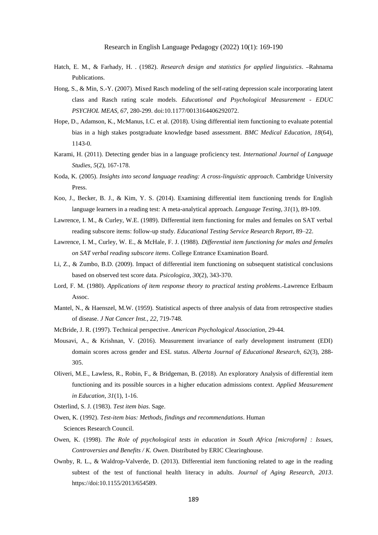- <span id="page-20-10"></span>Hatch, E. M., & Farhady, H. . (1982). *Research design and statistics for applied linguistics*. -Rahnama Publications.
- <span id="page-20-8"></span>Hong, S., & Min, S.-Y. (2007). Mixed Rasch modeling of the self-rating depression scale incorporating latent class and Rasch rating scale models. *Educational and Psychological Measurement - EDUC PSYCHOL MEAS, 67*, 280-299. doi:10.1177/0013164406292072.
- <span id="page-20-12"></span>Hope, D., Adamson, K., McManus, I.C. et al. (2018). Using differential item functioning to evaluate potential bias in a high stakes postgraduate knowledge based assessment. *BMC Medical Education, 18*(64), 1143-0.
- Karami, H. (2011). Detecting gender bias in a language proficiency test. *International Journal of Language Studies, 5*(2), 167-178.
- Koda, K. (2005). *Insights into second language reading: A cross-linguistic approach*. Cambridge University Press.
- <span id="page-20-7"></span>Koo, J., Becker, B. J., & Kim, Y. S. (2014). Examining differential item functioning trends for English language learners in a reading test: A meta-analytical approach. *Language Testing, 31*(1), 89-109.
- <span id="page-20-5"></span>Lawrence, I. M., & Curley, W.E. (1989). Differential item functioning for males and females on SAT verbal reading subscore items: follow-up study. *Educational Testing Service Research Report*, 89–22.
- <span id="page-20-4"></span>Lawrence, I. M., Curley, W. E., & McHale, F. J. (1988). *Differential item functioning for males and females on SAT verbal reading subscore items*. College Entrance Examination Board.
- <span id="page-20-3"></span>Li, Z., & Zumbo, B.D. (2009). Impact of differential item functioning on subsequent statistical conclusions based on observed test score data. *Psicologica, 30*(2), 343-370.
- Lord, F. M. (1980). *Applications of item response theory to practical testing problems*. Lawrence Erlbaum Assoc.
- <span id="page-20-2"></span>Mantel, N., & Haenszel, M.W. (1959). Statistical aspects of three analysis of data from retrospective studies of disease. *J Nat Cancer Inst., 22*, 719-748.
- <span id="page-20-11"></span>McBride, J. R. (1997). Technical perspective. *American Psychological Association*, 29-44.
- <span id="page-20-1"></span>Mousavi, A., & Krishnan, V. (2016). Measurement invariance of early development instrument (EDI) domain scores across gender and ESL status. *Alberta Journal of Educational Research, 62*(3), 288- 305.
- Oliveri, M.E., Lawless, R., Robin, F., & Bridgeman, B. (2018). An exploratory Analysis of differential item functioning and its possible sources in a higher education admissions context. *Applied Measurement in Education, 31*(1), 1-16.
- Osterlind, S. J. (1983). *Test item bias*. Sage.
- <span id="page-20-9"></span>Owen, K. (1992). *Test-item bias: Methods, findings and recommendations*. Human Sciences Research Council.
- <span id="page-20-0"></span>Owen, K. (1998). *The Role of psychological tests in education in South Africa [microform] : Issues, Controversies and Benefits / K. Owen*. Distributed by ERIC Clearinghouse.
- <span id="page-20-6"></span>Ownby, R. L., & Waldrop-Valverde, D. (2013). Differential item functioning related to age in the reading subtest of the test of functional health literacy in adults. *Journal of Aging Research, 2013*. https://doi:10.1155/2013/654589.